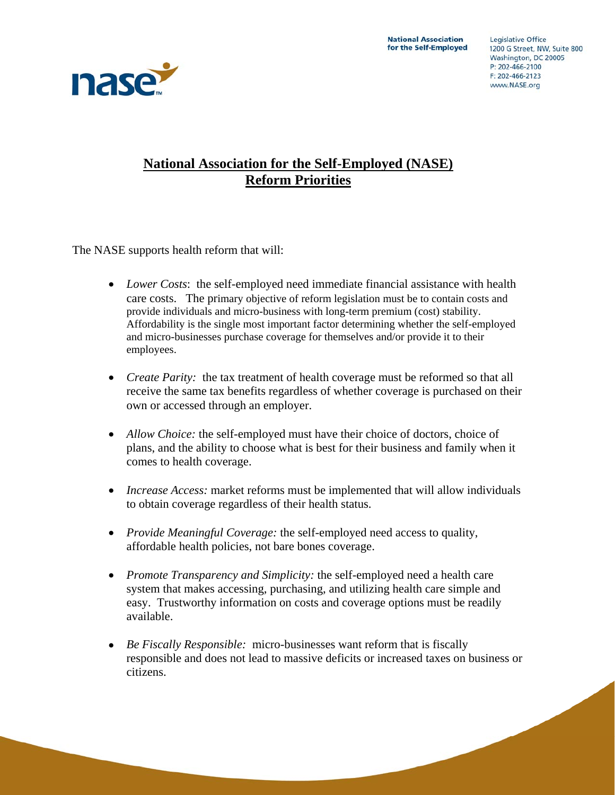

# **National Association for the Self-Employed (NASE) Reform Priorities**

The NASE supports health reform that will:

- *Lower Costs*: the self-employed need immediate financial assistance with health care costs. The primary objective of reform legislation must be to contain costs and provide individuals and micro-business with long-term premium (cost) stability. Affordability is the single most important factor determining whether the self-employed and micro-businesses purchase coverage for themselves and/or provide it to their employees.
- *Create Parity:* the tax treatment of health coverage must be reformed so that all receive the same tax benefits regardless of whether coverage is purchased on their own or accessed through an employer.
- *Allow Choice:* the self-employed must have their choice of doctors, choice of plans, and the ability to choose what is best for their business and family when it comes to health coverage.
- *Increase Access:* market reforms must be implemented that will allow individuals to obtain coverage regardless of their health status.
- *Provide Meaningful Coverage:* the self-employed need access to quality, affordable health policies, not bare bones coverage.
- *Promote Transparency and Simplicity:* the self-employed need a health care system that makes accessing, purchasing, and utilizing health care simple and easy. Trustworthy information on costs and coverage options must be readily available.
- *Be Fiscally Responsible:* micro-businesses want reform that is fiscally responsible and does not lead to massive deficits or increased taxes on business or citizens.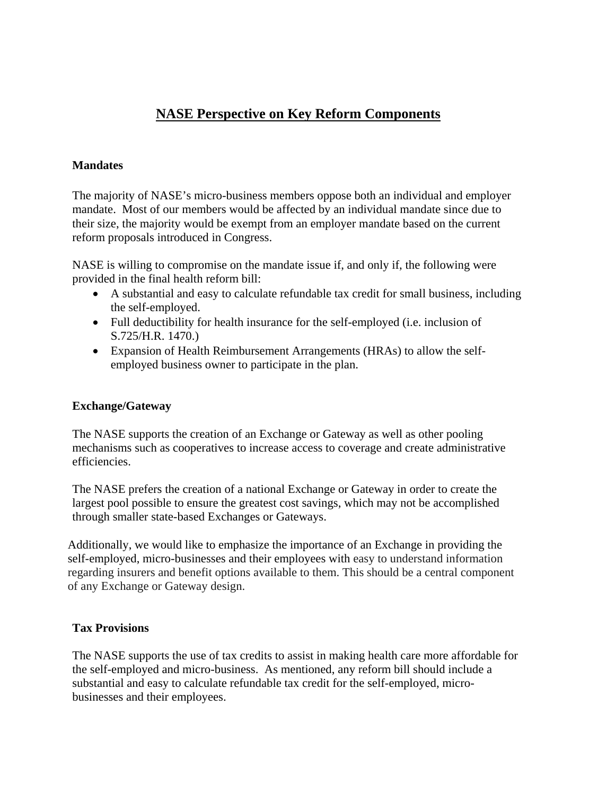# **NASE Perspective on Key Reform Components**

### **Mandates**

The majority of NASE's micro-business members oppose both an individual and employer mandate. Most of our members would be affected by an individual mandate since due to their size, the majority would be exempt from an employer mandate based on the current reform proposals introduced in Congress.

NASE is willing to compromise on the mandate issue if, and only if, the following were provided in the final health reform bill:

- A substantial and easy to calculate refundable tax credit for small business, including the self-employed.
- Full deductibility for health insurance for the self-employed (i.e. inclusion of S.725/H.R. 1470.)
- Expansion of Health Reimbursement Arrangements (HRAs) to allow the selfemployed business owner to participate in the plan.

## **Exchange/Gateway**

The NASE supports the creation of an Exchange or Gateway as well as other pooling mechanisms such as cooperatives to increase access to coverage and create administrative efficiencies.

The NASE prefers the creation of a national Exchange or Gateway in order to create the largest pool possible to ensure the greatest cost savings, which may not be accomplished through smaller state-based Exchanges or Gateways.

Additionally, we would like to emphasize the importance of an Exchange in providing the self-employed, micro-businesses and their employees with easy to understand information regarding insurers and benefit options available to them. This should be a central component of any Exchange or Gateway design.

#### **Tax Provisions**

The NASE supports the use of tax credits to assist in making health care more affordable for the self-employed and micro-business. As mentioned, any reform bill should include a substantial and easy to calculate refundable tax credit for the self-employed, microbusinesses and their employees.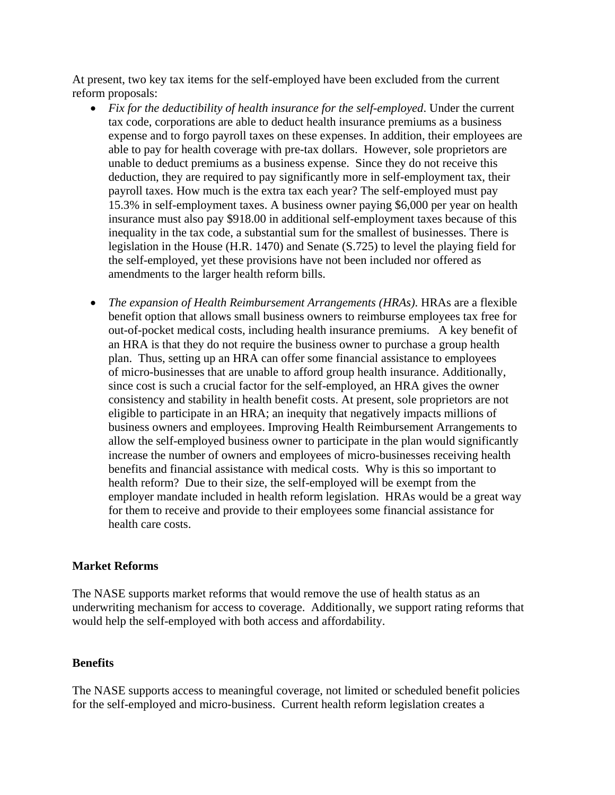At present, two key tax items for the self-employed have been excluded from the current reform proposals:

- *Fix for the deductibility of health insurance for the self-employed*. Under the current tax code, corporations are able to deduct health insurance premiums as a business expense and to forgo payroll taxes on these expenses. In addition, their employees are able to pay for health coverage with pre-tax dollars. However, sole proprietors are unable to deduct premiums as a business expense. Since they do not receive this deduction, they are required to pay significantly more in self-employment tax, their payroll taxes. How much is the extra tax each year? The self-employed must pay 15.3% in self-employment taxes. A business owner paying \$6,000 per year on health insurance must also pay \$918.00 in additional self-employment taxes because of this inequality in the tax code, a substantial sum for the smallest of businesses. There is legislation in the House (H.R. 1470) and Senate (S.725) to level the playing field for the self-employed, yet these provisions have not been included nor offered as amendments to the larger health reform bills.
- *The expansion of Health Reimbursement Arrangements (HRAs)*. HRAs are a flexible benefit option that allows small business owners to reimburse employees tax free for out-of-pocket medical costs, including health insurance premiums. A key benefit of an HRA is that they do not require the business owner to purchase a group health plan. Thus, setting up an HRA can offer some financial assistance to employees of micro-businesses that are unable to afford group health insurance. Additionally, since cost is such a crucial factor for the self-employed, an HRA gives the owner consistency and stability in health benefit costs. At present, sole proprietors are not eligible to participate in an HRA; an inequity that negatively impacts millions of business owners and employees. Improving Health Reimbursement Arrangements to allow the self-employed business owner to participate in the plan would significantly increase the number of owners and employees of micro-businesses receiving health benefits and financial assistance with medical costs. Why is this so important to health reform? Due to their size, the self-employed will be exempt from the employer mandate included in health reform legislation. HRAs would be a great way for them to receive and provide to their employees some financial assistance for health care costs.

## **Market Reforms**

The NASE supports market reforms that would remove the use of health status as an underwriting mechanism for access to coverage. Additionally, we support rating reforms that would help the self-employed with both access and affordability.

## **Benefits**

The NASE supports access to meaningful coverage, not limited or scheduled benefit policies for the self-employed and micro-business. Current health reform legislation creates a